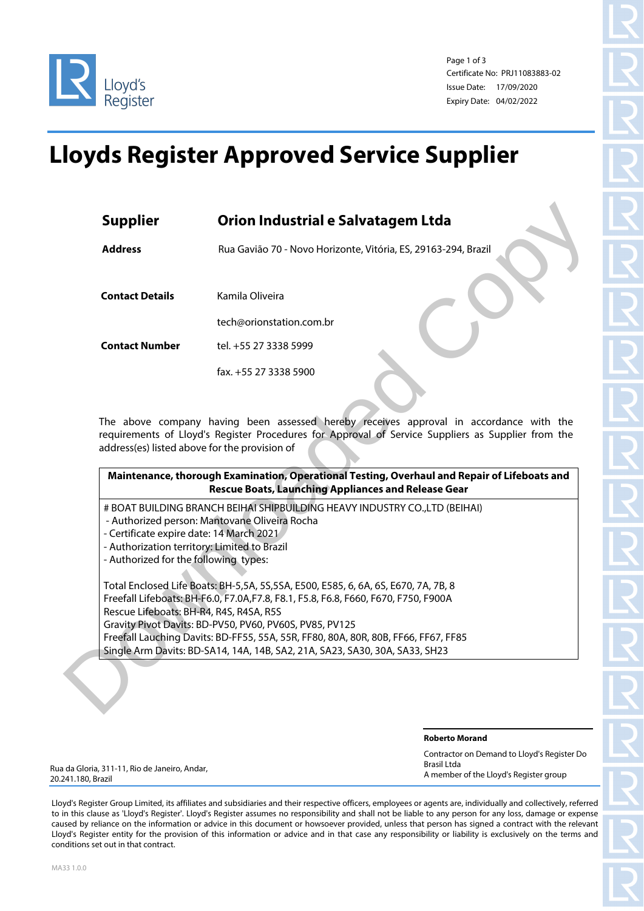

Page 1 of 3 Certificate No: PRJ11083883-02 Issue Date: 17/09/2020 Expiry Date: 04/02/2022

## **Lloyds Register Approved Service Supplier**

| <b>Address</b>                               | Rua Gavião 70 - Novo Horizonte, Vitória, ES, 29163-294, Brazil                                                                                                                               |
|----------------------------------------------|----------------------------------------------------------------------------------------------------------------------------------------------------------------------------------------------|
|                                              |                                                                                                                                                                                              |
| <b>Contact Details</b>                       | Kamila Oliveira                                                                                                                                                                              |
|                                              | tech@orionstation.com.br                                                                                                                                                                     |
| <b>Contact Number</b>                        | tel. +55 27 3338 5999                                                                                                                                                                        |
|                                              | fax. +55 27 3338 5900                                                                                                                                                                        |
|                                              | The above company having been assessed hereby receives approval in accordance with the<br>requirements of Lloyd's Register Procedures for Approval of Service Suppliers as Supplier from the |
|                                              | address(es) listed above for the provision of<br>Maintenance, thorough Examination, Operational Testing, Overhaul and Repair of Lifeboats and                                                |
|                                              | <b>Rescue Boats, Launching Appliances and Release Gear</b>                                                                                                                                   |
|                                              | # BOAT BUILDING BRANCH BEIHAI SHIPBUILDING HEAVY INDUSTRY CO., LTD (BEIHAI)<br>- Authorized person: Mantovane Oliveira Rocha                                                                 |
| - Certificate expire date: 14 March 2021     |                                                                                                                                                                                              |
| - Authorization territory: Limited to Brazil |                                                                                                                                                                                              |
| - Authorized for the following types:        |                                                                                                                                                                                              |
|                                              |                                                                                                                                                                                              |
|                                              | Total Enclosed Life Boats: BH-5,5A, 5S,5SA, E500, E585, 6, 6A, 6S, E670, 7A, 7B, 8<br>Freefall Lifeboats: BH-F6.0, F7.0A, F7.8, F8.1, F5.8, F6.8, F660, F670, F750, F900A                    |
| Rescue Lifeboats: BH-R4, R4S, R4SA, R5S      |                                                                                                                                                                                              |
|                                              | Gravity Pivot Davits: BD-PV50, PV60, PV60S, PV85, PV125                                                                                                                                      |
|                                              | Freefall Lauching Davits: BD-FF55, 55A, 55R, FF80, 80A, 80R, 80B, FF66, FF67, FF85<br>Single Arm Davits: BD-SA14, 14A, 14B, SA2, 21A, SA23, SA30, 30A, SA33, SH23                            |

| Maintenance, thorough Examination, Operational Testing, Overhaul and Repair of Lifeboats and |                                                            |  |
|----------------------------------------------------------------------------------------------|------------------------------------------------------------|--|
|                                                                                              | <b>Rescue Boats, Launching Appliances and Release Gear</b> |  |

- Authorized person: Mantovane Oliveira Rocha
- Certificate expire date: 14 March 2021
- Authorization territory: Limited to Brazil
- Authorized for the following types:

**Roberto Morand**

| Contractor on Demand to Lloyd's Register Do |
|---------------------------------------------|
| Brasil Ltda                                 |
| A member of the Lloyd's Register group      |

Rua da Gloria, 311-11, Rio de Janeiro, Andar, 20.241.180, Brazil

Lloyd's Register Group Limited, its affiliates and subsidiaries and their respective officers, employees or agents are, individually and collectively, referred to in this clause as 'Lloyd's Register'. Lloyd's Register assumes no responsibility and shall not be liable to any person for any loss, damage or expense caused by reliance on the information or advice in this document or howsoever provided, unless that person has signed a contract with the relevant Lloyd's Register entity for the provision of this information or advice and in that case any responsibility or liability is exclusively on the terms and conditions set out in that contract.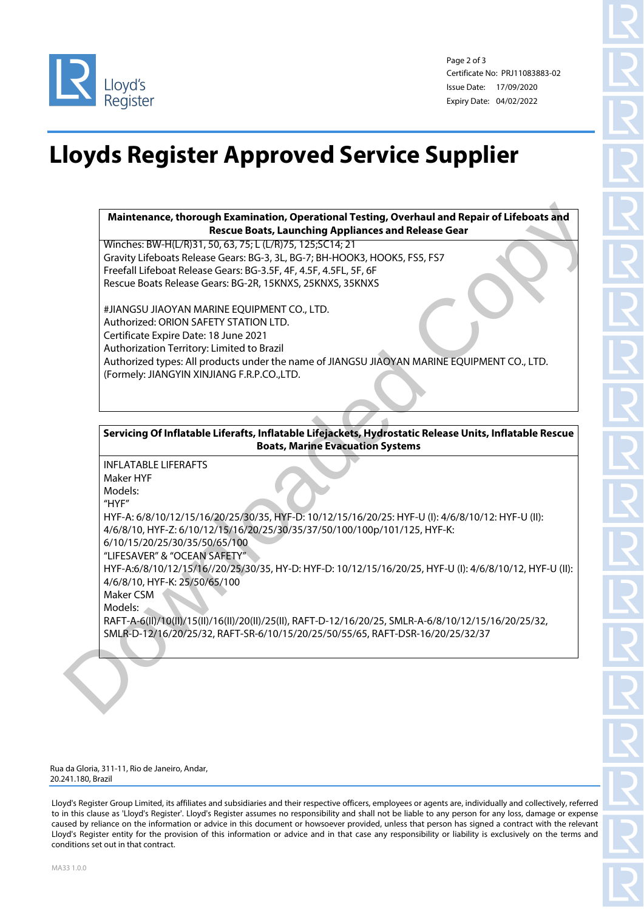

Page 2 of 3 Certificate No: PRJ11083883-02 Issue Date: 17/09/2020 Expiry Date: 04/02/2022

## **Lloyds Register Approved Service Supplier**

**Maintenance, thorough Examination, Operational Testing, Overhaul and Repair of Lifeboats and Rescue Boats, Launching Appliances and Release Gear**

Winches: BW-H(L/R)31, 50, 63, 75; L (L/R)75, 125;SC14; 21 Gravity Lifeboats Release Gears: BG-3, 3L, BG-7; BH-HOOK3, HOOK5, FS5, FS7 Freefall Lifeboat Release Gears: BG-3.5F, 4F, 4.5F, 4.5FL, 5F, 6F Rescue Boats Release Gears: BG-2R, 15KNXS, 25KNXS, 35KNXS

#JIANGSU JIAOYAN MARINE EQUIPMENT CO., LTD. Authorized: ORION SAFETY STATION LTD. Certificate Expire Date: 18 June 2021 Authorization Territory: Limited to Brazil Authorized types: All products under the name of JIANGSU JIAOYAN MARINE EQUIPMENT CO., LTD. (Formely: JIANGYIN XINJIANG F.R.P.CO.,LTD.

**Servicing Of Inflatable Liferafts, Inflatable Lifejackets, Hydrostatic Release Units, Inflatable Rescue Boats, Marine Evacuation Systems**

INFLATABLE LIFERAFTS Maker HYF Models: "HYF" HYF-A: 6/8/10/12/15/16/20/25/30/35, HYF-D: 10/12/15/16/20/25: HYF-U (I): 4/6/8/10/12: HYF-U (II): 4/6/8/10, HYF-Z: 6/10/12/15/16/20/25/30/35/37/50/100/100p/101/125, HYF-K: 6/10/15/20/25/30/35/50/65/100 "LIFESAVER" & "OCEAN SAFETY" HYF-A:6/8/10/12/15/16//20/25/30/35, HY-D: HYF-D: 10/12/15/16/20/25, HYF-U (I): 4/6/8/10/12, HYF-U (II): 4/6/8/10, HYF-K: 25/50/65/100 Maker CSM Models: RAFT-A-6(II)/10(II)/15(II)/16(II)/20(II)/25(II), RAFT-D-12/16/20/25, SMLR-A-6/8/10/12/15/16/20/25/32, SMLR-D-12/16/20/25/32, RAFT-SR-6/10/15/20/25/50/55/65, RAFT-DSR-16/20/25/32/37 Maintenance, thorough Examination, Operational Testing, Overhaul and Repair of Lifeboars and<br>Virginizers BW-HUVB31. Rescore Boars, Luming Applicates and Release Gear<br>Copylig-University (Fig. 10, UVB) 2.2524 (Fig. 10, HOMS)

Rua da Gloria, 311-11, Rio de Janeiro, Andar, 20.241.180, Brazil

Lloyd's Register Group Limited, its affiliates and subsidiaries and their respective officers, employees or agents are, individually and collectively, referred to in this clause as 'Lloyd's Register'. Lloyd's Register assumes no responsibility and shall not be liable to any person for any loss, damage or expense caused by reliance on the information or advice in this document or howsoever provided, unless that person has signed a contract with the relevant Lloyd's Register entity for the provision of this information or advice and in that case any responsibility or liability is exclusively on the terms and conditions set out in that contract.